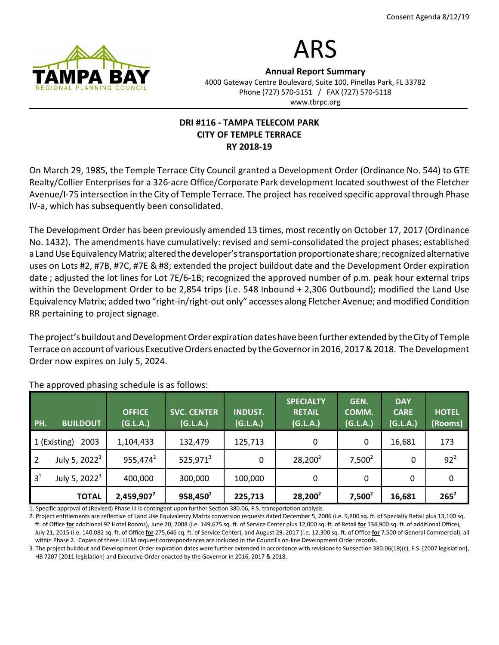

# ARS

Annual Report Summary 4000 Gateway Centre Boulevard, Suite 100, Pinellas Park, FL 33782 Phone (727) 570-5151 / FAX (727) 570-5118 www.tbrpc.org

## DRI #116 - TAMPA TELECOM PARK CITY OF TEMPLE TERRACE RY 2018-19

On March 29, 1985, the Temple Terrace City Council granted a Development Order (Ordinance No. 544) to GTE Realty/Collier Enterprises for a 326-acre Office/Corporate Park development located southwest of the Fletcher Avenue/I-75 intersection in the City of Temple Terrace. The project has received specific approval through Phase IV-a, which has subsequently been consolidated.

The Development Order has been previously amended 13 times, most recently on October 17, 2017 (Ordinance No. 1432). The amendments have cumulatively: revised and semi-consolidated the project phases; established a Land Use Equivalency Matrix; altered the developer's transportation proportionate share; recognized alternative uses on Lots #2, #7B, #7C, #7E & #8; extended the project buildout date and the Development Order expiration date ; adjusted the lot lines for Lot 7E/6-1B; recognized the approved number of p.m. peak hour external trips within the Development Order to be 2,854 trips (i.e. 548 Inbound + 2,306 Outbound); modified the Land Use Equivalency Matrix; added two "right-in/right-out only" accesses along Fletcher Avenue; and modified Condition RR pertaining to project signage.

The project's buildout and Development Order expiration dates have been further extended by the City of Temple Terrace on account of various Executive Orders enacted by the Governor in 2016, 2017 & 2018. The Development Order now expires on July 5, 2024.

| PH.            | <b>BUILDOUT</b>      | <b>OFFICE</b><br>(G.L.A.) | <b>SVC. CENTER</b><br>(G.L.A.) | <b>INDUST.</b><br>(G.L.A.) | <b>SPECIALTY</b><br><b>RETAIL</b><br>(G.L.A.) | GEN.<br>COMM.<br>(G.L.A.) | <b>DAY</b><br><b>CARE</b><br>(G.L.A.) | <b>HOTEL</b><br>(Rooms) |
|----------------|----------------------|---------------------------|--------------------------------|----------------------------|-----------------------------------------------|---------------------------|---------------------------------------|-------------------------|
|                | 2003<br>1 (Existing) | 1,104,433                 | 132,479                        | 125,713                    | 0                                             | 0                         | 16,681                                | 173                     |
| $\overline{2}$ | July 5, $2022^3$     | $955,474^2$               | $525,971^2$                    | 0                          | $28,200^2$                                    | $7,500^2$                 | 0                                     | $92^2$                  |
| 3 <sup>1</sup> | July 5, $2022^3$     | 400,000                   | 300,000                        | 100,000                    | 0                                             | 0                         | $\Omega$                              | 0                       |
|                | <b>TOTAL</b>         | $2,459,907^2$             | $958,450^2$                    | 225,713                    | $28,200^2$                                    | $7,500^2$                 | 16,681                                | $265^2$                 |

The approved phasing schedule is as follows:

1. Specific approval of (Revised) Phase III is contingent upon further Section 380.06, F.S. transportation analysis.

2. Project entitlements are reflective of Land Use Equivalency Matrix conversion requests dated December 5, 2006 (i.e. 9,800 sq. ft. of Specialty Retail plus 13,100 sq. ft. of Office for additional 92 Hotel Rooms), June 20, 2008 (i.e. 149,675 sq. ft. of Service Center plus 12,000 sq. ft. of Retail for 134,900 sq. ft. of additional Office), July 21, 2015 (i.e. 140,082 sq. ft. of Office for 275,646 sq. ft. of Service Center), and August 29, 2017 (i.e. 12,300 sq. ft. of Office for 7,500 of General Commercial), all within Phase 2. Copies of these LUEM request correspondences are included in the Council's on-line Development Order records.

3. The project buildout and Development Order expiration dates were further extended in accordance with revisions to Subsection 380.06(19)(c), F.S. [2007 legislation], HB 7207 [2011 legislation] and Executive Order enacted by the Governor in 2016, 2017 & 2018.